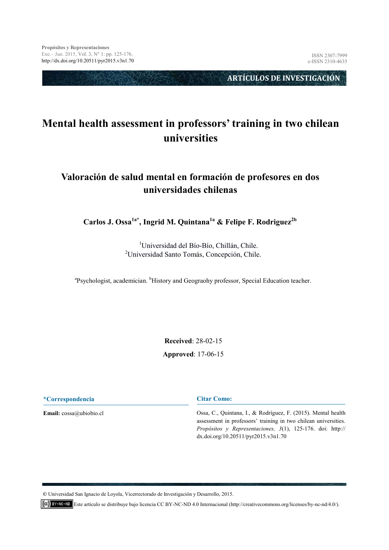**ARTÍCULOS DE INVESTIGACIÓN** 

# **Mental health assessment in professors' training in two chilean universities**

# **Valoración de salud mental en formación de profesores en dos universidades chilenas**

**Carlos J. Ossa1a\*, Ingrid M. Quintana1a & Felipe F. Rodriguez2b**

<sup>1</sup>Universidad del Bío-Bío, Chillán, Chile. <sup>2</sup>Universidad Santo Tomás, Concepción, Chile.

<sup>a</sup>Psychologist, academician. <sup>b</sup>History and Geograohy professor, Special Education teacher.

**Received**: 28-02-15 **Approved**: 17-06-15

**\*Correspondencia**

**Email:** cossa@ubiobio.cl

**Citar Como:** 

Ossa, C., Quintana, I., & Rodríguez, F. (2015). Mental health assessment in professors' training in two chilean universities. *Propósitos y Representaciones, 3*(1), 125-176. doi: http:// dx.doi.org/10.20511/pyr2015.v3n1.70

**©** Universidad San Ignacio de Loyola, Vicerrectorado de Investigación y Desarrollo, 2015.

Este artículo se distribuye bajo licencia CC BY-NC-ND 4.0 Internacional (http://creativecommons.org/licenses/by-nc-nd/4.0/).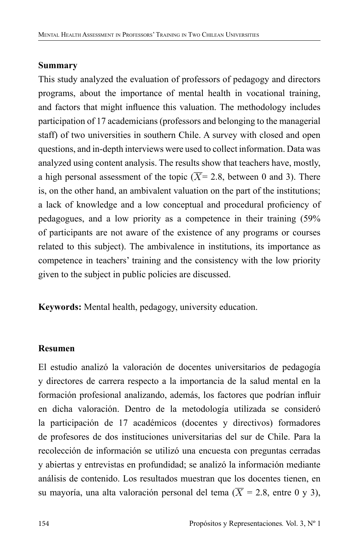#### **Summary**

This study analyzed the evaluation of professors of pedagogy and directors programs, about the importance of mental health in vocational training, and factors that might influence this valuation. The methodology includes participation of 17 academicians (professors and belonging to the managerial staff) of two universities in southern Chile. A survey with closed and open questions, and in-depth interviews were used to collect information. Data was analyzed using content analysis. The results show that teachers have, mostly, a high personal assessment of the topic  $(\overline{X} = 2.8)$ , between 0 and 3). There is, on the other hand, an ambivalent valuation on the part of the institutions; a lack of knowledge and a low conceptual and procedural proficiency of pedagogues, and a low priority as a competence in their training (59% of participants are not aware of the existence of any programs or courses related to this subject). The ambivalence in institutions, its importance as competence in teachers' training and the consistency with the low priority given to the subject in public policies are discussed.

**Keywords:** Mental health, pedagogy, university education.

### **Resumen**

El estudio analizó la valoración de docentes universitarios de pedagogía y directores de carrera respecto a la importancia de la salud mental en la formación profesional analizando, además, los factores que podrían influir en dicha valoración. Dentro de la metodología utilizada se consideró la participación de 17 académicos (docentes y directivos) formadores de profesores de dos instituciones universitarias del sur de Chile. Para la recolección de información se utilizó una encuesta con preguntas cerradas y abiertas y entrevistas en profundidad; se analizó la información mediante análisis de contenido. Los resultados muestran que los docentes tienen, en su mayoría, una alta valoración personal del tema ( $\overline{X} = 2.8$ , entre 0 y 3),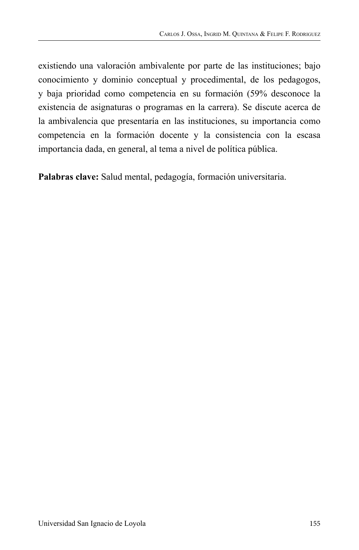existiendo una valoración ambivalente por parte de las instituciones; bajo conocimiento y dominio conceptual y procedimental, de los pedagogos, y baja prioridad como competencia en su formación (59% desconoce la existencia de asignaturas o programas en la carrera). Se discute acerca de la ambivalencia que presentaría en las instituciones, su importancia como competencia en la formación docente y la consistencia con la escasa importancia dada, en general, al tema a nivel de política pública.

**Palabras clave:** Salud mental, pedagogía, formación universitaria.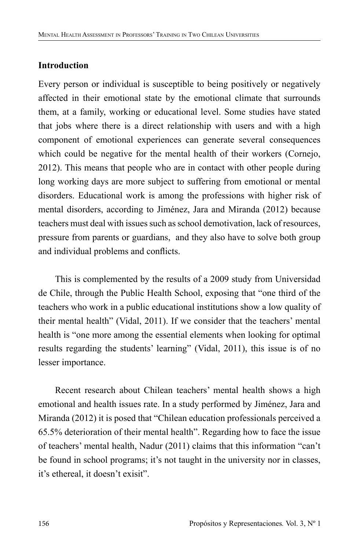## **Introduction**

Every person or individual is susceptible to being positively or negatively affected in their emotional state by the emotional climate that surrounds them, at a family, working or educational level. Some studies have stated that jobs where there is a direct relationship with users and with a high component of emotional experiences can generate several consequences which could be negative for the mental health of their workers (Cornejo, 2012). This means that people who are in contact with other people during long working days are more subject to suffering from emotional or mental disorders. Educational work is among the professions with higher risk of mental disorders, according to Jiménez, Jara and Miranda (2012) because teachers must deal with issues such as school demotivation, lack of resources, pressure from parents or guardians, and they also have to solve both group and individual problems and conflicts.

This is complemented by the results of a 2009 study from Universidad de Chile, through the Public Health School, exposing that "one third of the teachers who work in a public educational institutions show a low quality of their mental health" (Vidal, 2011). If we consider that the teachers' mental health is "one more among the essential elements when looking for optimal results regarding the students' learning" (Vidal, 2011), this issue is of no lesser importance.

Recent research about Chilean teachers' mental health shows a high emotional and health issues rate. In a study performed by Jiménez, Jara and Miranda (2012) it is posed that "Chilean education professionals perceived a 65.5% deterioration of their mental health". Regarding how to face the issue of teachers' mental health, Nadur (2011) claims that this information "can't be found in school programs; it's not taught in the university nor in classes, it's ethereal, it doesn't exisit".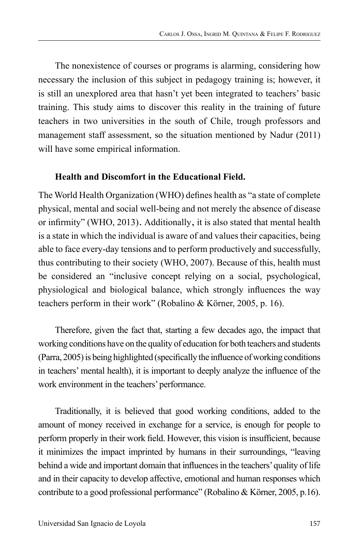The nonexistence of courses or programs is alarming, considering how necessary the inclusion of this subject in pedagogy training is; however, it is still an unexplored area that hasn't yet been integrated to teachers' basic training. This study aims to discover this reality in the training of future teachers in two universities in the south of Chile, trough professors and management staff assessment, so the situation mentioned by Nadur (2011) will have some empirical information.

### **Health and Discomfort in the Educational Field.**

The World Health Organization (WHO) defines health as "a state of complete physical, mental and social well-being and not merely the absence of disease or infirmity" (WHO, 2013). Additionally, it is also stated that mental health is a state in which the individual is aware of and values their capacities, being able to face every-day tensions and to perform productively and successfully, thus contributing to their society (WHO, 2007). Because of this, health must be considered an "inclusive concept relying on a social, psychological, physiological and biological balance, which strongly influences the way teachers perform in their work" (Robalino & Körner, 2005, p. 16).

Therefore, given the fact that, starting a few decades ago, the impact that working conditions have on the quality of education for both teachers and students (Parra, 2005) is being highlighted (specifically the influence of working conditions in teachers' mental health), it is important to deeply analyze the influence of the work environment in the teachers' performance.

Traditionally, it is believed that good working conditions, added to the amount of money received in exchange for a service, is enough for people to perform properly in their work field. However, this vision is insufficient, because it minimizes the impact imprinted by humans in their surroundings, "leaving behind a wide and important domain that influences in the teachers' quality of life and in their capacity to develop affective, emotional and human responses which contribute to a good professional performance" (Robalino & Körner, 2005, p.16).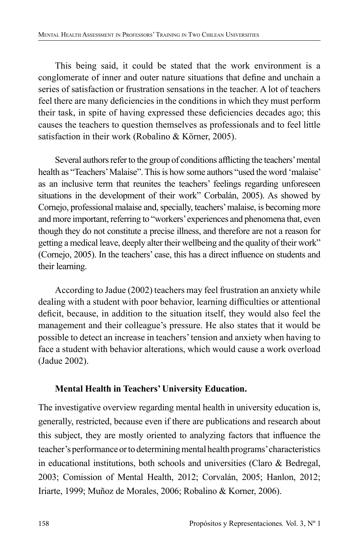This being said, it could be stated that the work environment is a conglomerate of inner and outer nature situations that define and unchain a series of satisfaction or frustration sensations in the teacher. A lot of teachers feel there are many deficiencies in the conditions in which they must perform their task, in spite of having expressed these deficiencies decades ago; this causes the teachers to question themselves as professionals and to feel little satisfaction in their work (Robalino & Körner, 2005).

Several authors refer to the group of conditions afflicting the teachers' mental health as "Teachers' Malaise". This is how some authors "used the word 'malaise' as an inclusive term that reunites the teachers' feelings regarding unforeseen situations in the development of their work" Corbalán, 2005). As showed by Cornejo, professional malaise and, specially, teachers' malaise, is becoming more and more important, referring to "workers' experiences and phenomena that, even though they do not constitute a precise illness, and therefore are not a reason for getting a medical leave, deeply alter their wellbeing and the quality of their work" (Cornejo, 2005). In the teachers' case, this has a direct influence on students and their learning.

According to Jadue (2002) teachers may feel frustration an anxiety while dealing with a student with poor behavior, learning difficulties or attentional deficit, because, in addition to the situation itself, they would also feel the management and their colleague's pressure. He also states that it would be possible to detect an increase in teachers' tension and anxiety when having to face a student with behavior alterations, which would cause a work overload (Jadue 2002).

## **Mental Health in Teachers' University Education.**

The investigative overview regarding mental health in university education is, generally, restricted, because even if there are publications and research about this subject, they are mostly oriented to analyzing factors that influence the teacher's performance or to determining mental health programs' characteristics in educational institutions, both schools and universities (Claro & Bedregal, 2003; Comission of Mental Health, 2012; Corvalán, 2005; Hanlon, 2012; Iriarte, 1999; Muñoz de Morales, 2006; Robalino & Korner, 2006).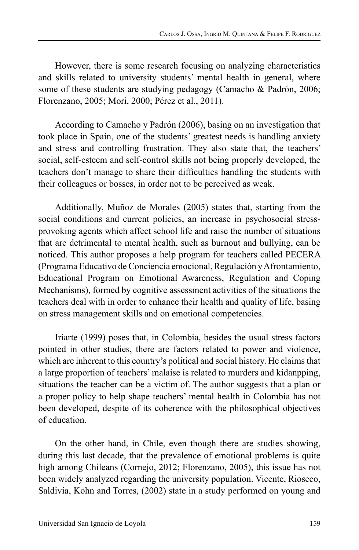However, there is some research focusing on analyzing characteristics and skills related to university students' mental health in general, where some of these students are studying pedagogy (Camacho & Padrón, 2006; Florenzano, 2005; Mori, 2000; Pérez et al., 2011).

According to Camacho y Padrón (2006), basing on an investigation that took place in Spain, one of the students' greatest needs is handling anxiety and stress and controlling frustration. They also state that, the teachers' social, self-esteem and self-control skills not being properly developed, the teachers don't manage to share their difficulties handling the students with their colleagues or bosses, in order not to be perceived as weak.

Additionally, Muñoz de Morales (2005) states that, starting from the social conditions and current policies, an increase in psychosocial stressprovoking agents which affect school life and raise the number of situations that are detrimental to mental health, such as burnout and bullying, can be noticed. This author proposes a help program for teachers called PECERA (Programa Educativo de Conciencia emocional, Regulación y Afrontamiento, Educational Program on Emotional Awareness, Regulation and Coping Mechanisms), formed by cognitive assessment activities of the situations the teachers deal with in order to enhance their health and quality of life, basing on stress management skills and on emotional competencies.

Iriarte (1999) poses that, in Colombia, besides the usual stress factors pointed in other studies, there are factors related to power and violence, which are inherent to this country's political and social history. He claims that a large proportion of teachers' malaise is related to murders and kidanpping, situations the teacher can be a victim of. The author suggests that a plan or a proper policy to help shape teachers' mental health in Colombia has not been developed, despite of its coherence with the philosophical objectives of education.

On the other hand, in Chile, even though there are studies showing, during this last decade, that the prevalence of emotional problems is quite high among Chileans (Cornejo, 2012; Florenzano, 2005), this issue has not been widely analyzed regarding the university population. Vicente, Rioseco, Saldivia, Kohn and Torres, (2002) state in a study performed on young and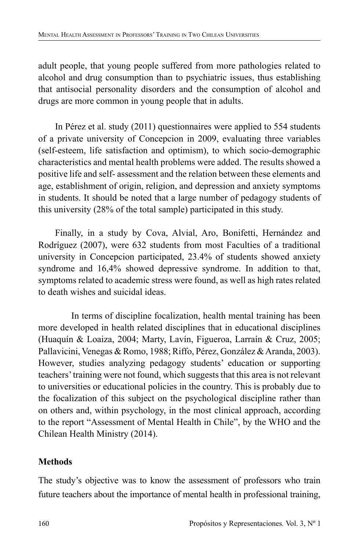adult people, that young people suffered from more pathologies related to alcohol and drug consumption than to psychiatric issues, thus establishing that antisocial personality disorders and the consumption of alcohol and drugs are more common in young people that in adults.

In Pérez et al. study (2011) questionnaires were applied to 554 students of a private university of Concepcion in 2009, evaluating three variables (self-esteem, life satisfaction and optimism), to which socio-demographic characteristics and mental health problems were added. The results showed a positive life and self- assessment and the relation between these elements and age, establishment of origin, religion, and depression and anxiety symptoms in students. It should be noted that a large number of pedagogy students of this university (28% of the total sample) participated in this study.

Finally, in a study by Cova, Alvial, Aro, Bonifetti, Hernández and Rodríguez (2007), were 632 students from most Faculties of a traditional university in Concepcion participated, 23.4% of students showed anxiety syndrome and 16,4% showed depressive syndrome. In addition to that, symptoms related to academic stress were found, as well as high rates related to death wishes and suicidal ideas.

 In terms of discipline focalization, health mental training has been more developed in health related disciplines that in educational disciplines (Huaquín & Loaiza, 2004; Marty, Lavín, Figueroa, Larraín & Cruz, 2005; Pallavicini, Venegas & Romo, 1988; Riffo, Pérez, González & Aranda, 2003). However, studies analyzing pedagogy students' education or supporting teachers' training were not found, which suggests that this area is not relevant to universities or educational policies in the country. This is probably due to the focalization of this subject on the psychological discipline rather than on others and, within psychology, in the most clinical approach, according to the report "Assessment of Mental Health in Chile", by the WHO and the Chilean Health Ministry (2014).

# **Methods**

The study's objective was to know the assessment of professors who train future teachers about the importance of mental health in professional training,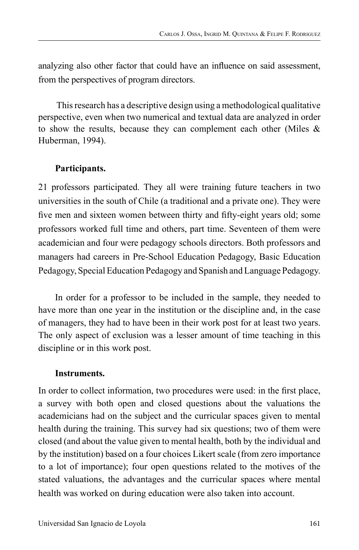analyzing also other factor that could have an influence on said assessment, from the perspectives of program directors.

 This research has a descriptive design using a methodological qualitative perspective, even when two numerical and textual data are analyzed in order to show the results, because they can complement each other (Miles & Huberman, 1994).

# **Participants.**

21 professors participated. They all were training future teachers in two universities in the south of Chile (a traditional and a private one). They were five men and sixteen women between thirty and fifty-eight years old; some professors worked full time and others, part time. Seventeen of them were academician and four were pedagogy schools directors. Both professors and managers had careers in Pre-School Education Pedagogy, Basic Education Pedagogy, Special Education Pedagogy and Spanish and Language Pedagogy.

In order for a professor to be included in the sample, they needed to have more than one year in the institution or the discipline and, in the case of managers, they had to have been in their work post for at least two years. The only aspect of exclusion was a lesser amount of time teaching in this discipline or in this work post.

### **Instruments.**

In order to collect information, two procedures were used: in the first place, a survey with both open and closed questions about the valuations the academicians had on the subject and the curricular spaces given to mental health during the training. This survey had six questions; two of them were closed (and about the value given to mental health, both by the individual and by the institution) based on a four choices Likert scale (from zero importance to a lot of importance); four open questions related to the motives of the stated valuations, the advantages and the curricular spaces where mental health was worked on during education were also taken into account.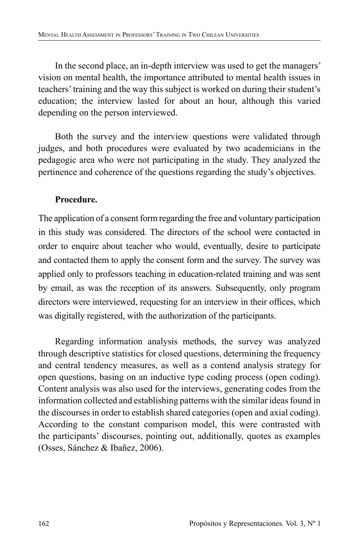In the second place, an in-depth interview was used to get the managers' vision on mental health, the importance attributed to mental health issues in teachers' training and the way this subject is worked on during their student's education; the interview lasted for about an hour, although this varied depending on the person interviewed.

Both the survey and the interview questions were validated through judges, and both procedures were evaluated by two academicians in the pedagogic area who were not participating in the study. They analyzed the pertinence and coherence of the questions regarding the study's objectives.

## **Procedure.**

The application of a consent form regarding the free and voluntary participation in this study was considered. The directors of the school were contacted in order to enquire about teacher who would, eventually, desire to participate and contacted them to apply the consent form and the survey. The survey was applied only to professors teaching in education-related training and was sent by email, as was the reception of its answers. Subsequently, only program directors were interviewed, requesting for an interview in their offices, which was digitally registered, with the authorization of the participants.

Regarding information analysis methods, the survey was analyzed through descriptive statistics for closed questions, determining the frequency and central tendency measures, as well as a contend analysis strategy for open questions, basing on an inductive type coding process (open coding). Content analysis was also used for the interviews, generating codes from the information collected and establishing patterns with the similar ideas found in the discourses in order to establish shared categories (open and axial coding). According to the constant comparison model, this were contrasted with the participants' discourses, pointing out, additionally, quotes as examples (Osses, Sánchez & Ibañez, 2006).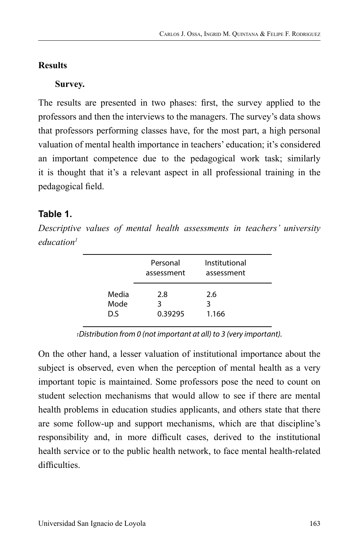## **Results**

## **Survey.**

The results are presented in two phases: first, the survey applied to the professors and then the interviews to the managers. The survey's data shows that professors performing classes have, for the most part, a high personal valuation of mental health importance in teachers' education; it's considered an important competence due to the pedagogical work task; similarly it is thought that it's a relevant aspect in all professional training in the pedagogical field.

# **Table 1.**

*Descriptive values of mental health assessments in teachers' university education1*

|       | Personal<br>assessment | Institutional<br>assessment |  |
|-------|------------------------|-----------------------------|--|
| Media | 2.8                    | 2.6                         |  |
| Mode  | 3                      | 3                           |  |
| D.S   | 0.39295                | 1.166                       |  |

*1Distribution from 0 (not important at all) to 3 (very important).*

On the other hand, a lesser valuation of institutional importance about the subject is observed, even when the perception of mental health as a very important topic is maintained. Some professors pose the need to count on student selection mechanisms that would allow to see if there are mental health problems in education studies applicants, and others state that there are some follow-up and support mechanisms, which are that discipline's responsibility and, in more difficult cases, derived to the institutional health service or to the public health network, to face mental health-related difficulties.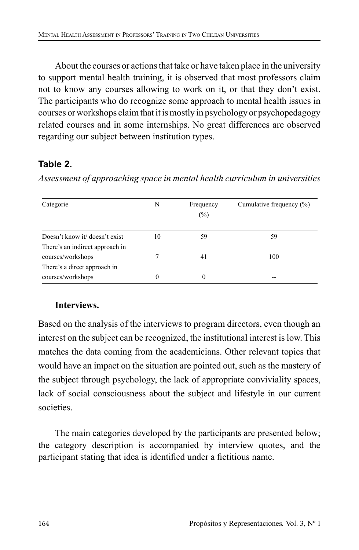About the courses or actions that take or have taken place in the university to support mental health training, it is observed that most professors claim not to know any courses allowing to work on it, or that they don't exist. The participants who do recognize some approach to mental health issues in courses or workshops claim that it is mostly in psychology or psychopedagogy related courses and in some internships. No great differences are observed regarding our subject between institution types.

# **Table 2.**

| Categorie                                                         | N  | Frequency<br>$(\%)$ | Cumulative frequency $(\% )$ |
|-------------------------------------------------------------------|----|---------------------|------------------------------|
| Doesn't know it/ doesn't exist<br>There's an indirect approach in | 10 | 59                  | 59                           |
| courses/workshops                                                 |    | 41                  | 100                          |
| There's a direct approach in<br>courses/workshops                 | 0  | $\Omega$            |                              |

*Assessment of approaching space in mental health curriculum in universities*

# **Interviews.**

Based on the analysis of the interviews to program directors, even though an interest on the subject can be recognized, the institutional interest is low. This matches the data coming from the academicians. Other relevant topics that would have an impact on the situation are pointed out, such as the mastery of the subject through psychology, the lack of appropriate conviviality spaces, lack of social consciousness about the subject and lifestyle in our current societies.

The main categories developed by the participants are presented below; the category description is accompanied by interview quotes, and the participant stating that idea is identified under a fictitious name.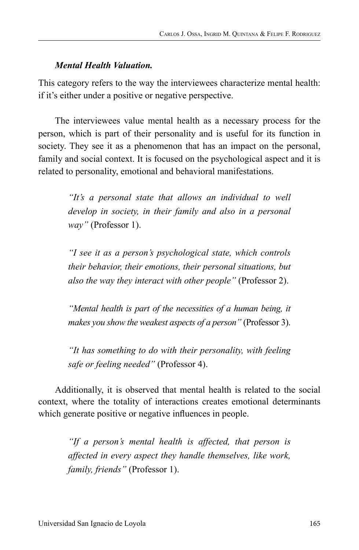#### *Mental Health Valuation.*

This category refers to the way the interviewees characterize mental health: if it's either under a positive or negative perspective.

The interviewees value mental health as a necessary process for the person, which is part of their personality and is useful for its function in society. They see it as a phenomenon that has an impact on the personal, family and social context. It is focused on the psychological aspect and it is related to personality, emotional and behavioral manifestations.

> *"It's a personal state that allows an individual to well develop in society, in their family and also in a personal way"* (Professor 1).

> *"I see it as a person's psychological state, which controls their behavior, their emotions, their personal situations, but also the way they interact with other people"* (Professor 2).

> *"Mental health is part of the necessities of a human being, it makes you show the weakest aspects of a person"* (Professor 3).

> *"It has something to do with their personality, with feeling safe or feeling needed"* (Professor 4).

Additionally, it is observed that mental health is related to the social context, where the totality of interactions creates emotional determinants which generate positive or negative influences in people.

*"If a person's mental health is affected, that person is affected in every aspect they handle themselves, like work, family, friends"* (Professor 1).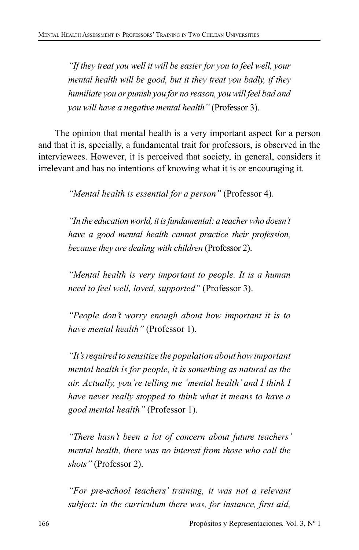*"If they treat you well it will be easier for you to feel well, your mental health will be good, but it they treat you badly, if they humiliate you or punish you for no reason, you will feel bad and you will have a negative mental health"* (Professor 3).

The opinion that mental health is a very important aspect for a person and that it is, specially, a fundamental trait for professors, is observed in the interviewees. However, it is perceived that society, in general, considers it irrelevant and has no intentions of knowing what it is or encouraging it.

*"Mental health is essential for a person"* (Professor 4).

*"In the education world, it is fundamental: a teacher who doesn't have a good mental health cannot practice their profession, because they are dealing with children* (Professor 2).

*"Mental health is very important to people. It is a human need to feel well, loved, supported"* (Professor 3).

*"People don't worry enough about how important it is to have mental health"* (Professor 1).

*"It's required to sensitize the population about how important mental health is for people, it is something as natural as the air. Actually, you're telling me 'mental health' and I think I have never really stopped to think what it means to have a good mental health"* (Professor 1).

*"There hasn't been a lot of concern about future teachers' mental health, there was no interest from those who call the shots"* (Professor 2).

*"For pre-school teachers' training, it was not a relevant subject: in the curriculum there was, for instance, first aid,*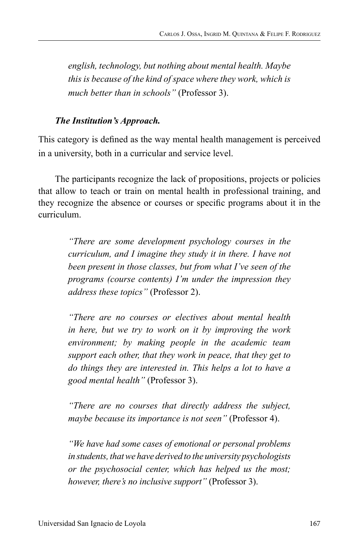*english, technology, but nothing about mental health. Maybe this is because of the kind of space where they work, which is much better than in schools"* (Professor 3).

#### *The Institution's Approach.*

This category is defined as the way mental health management is perceived in a university, both in a curricular and service level.

The participants recognize the lack of propositions, projects or policies that allow to teach or train on mental health in professional training, and they recognize the absence or courses or specific programs about it in the curriculum.

> *"There are some development psychology courses in the curriculum, and I imagine they study it in there. I have not been present in those classes, but from what I've seen of the programs (course contents) I'm under the impression they address these topics"* (Professor 2).

> *"There are no courses or electives about mental health in here, but we try to work on it by improving the work environment; by making people in the academic team support each other, that they work in peace, that they get to do things they are interested in. This helps a lot to have a good mental health"* (Professor 3).

> *"There are no courses that directly address the subject, maybe because its importance is not seen"* (Professor 4).

> *"We have had some cases of emotional or personal problems in students, that we have derived to the university psychologists or the psychosocial center, which has helped us the most; however, there's no inclusive support"* (Professor 3).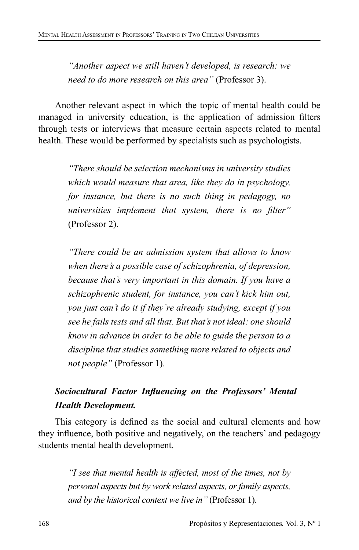*"Another aspect we still haven't developed, is research: we need to do more research on this area"* (Professor 3).

Another relevant aspect in which the topic of mental health could be managed in university education, is the application of admission filters through tests or interviews that measure certain aspects related to mental health. These would be performed by specialists such as psychologists.

*"There should be selection mechanisms in university studies which would measure that area, like they do in psychology, for instance, but there is no such thing in pedagogy, no universities implement that system, there is no filter"* (Professor 2).

*"There could be an admission system that allows to know when there's a possible case of schizophrenia, of depression, because that's very important in this domain. If you have a schizophrenic student, for instance, you can't kick him out, you just can't do it if they're already studying, except if you see he fails tests and all that. But that's not ideal: one should know in advance in order to be able to guide the person to a discipline that studies something more related to objects and not people"* (Professor 1).

# *Sociocultural Factor Influencing on the Professors' Mental Health Development.*

This category is defined as the social and cultural elements and how they influence, both positive and negatively, on the teachers' and pedagogy students mental health development.

> *"I see that mental health is affected, most of the times, not by personal aspects but by work related aspects, or family aspects, and by the historical context we live in"* (Professor 1).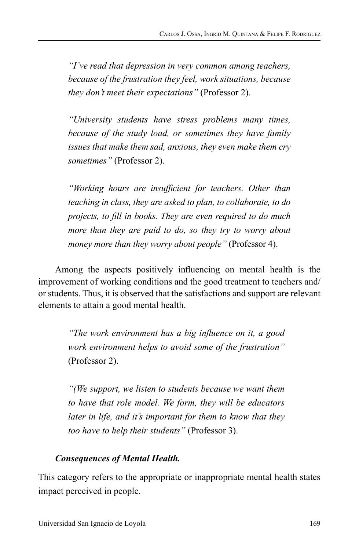*"I've read that depression in very common among teachers, because of the frustration they feel, work situations, because they don't meet their expectations"* (Professor 2).

*"University students have stress problems many times, because of the study load, or sometimes they have family issues that make them sad, anxious, they even make them cry sometimes"* (Professor 2).

*"Working hours are insufficient for teachers. Other than teaching in class, they are asked to plan, to collaborate, to do projects, to fill in books. They are even required to do much more than they are paid to do, so they try to worry about money more than they worry about people"* (Professor 4).

Among the aspects positively influencing on mental health is the improvement of working conditions and the good treatment to teachers and/ or students. Thus, it is observed that the satisfactions and support are relevant elements to attain a good mental health.

> *"The work environment has a big influence on it, a good work environment helps to avoid some of the frustration"* (Professor 2).

> *"(We support, we listen to students because we want them to have that role model. We form, they will be educators later in life, and it's important for them to know that they too have to help their students"* (Professor 3).

### *Consequences of Mental Health.*

This category refers to the appropriate or inappropriate mental health states impact perceived in people.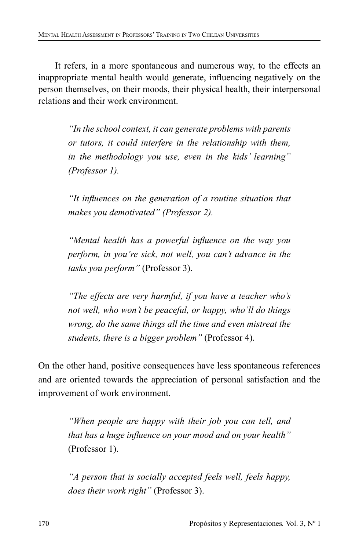It refers, in a more spontaneous and numerous way, to the effects an inappropriate mental health would generate, influencing negatively on the person themselves, on their moods, their physical health, their interpersonal relations and their work environment.

> *"In the school context, it can generate problems with parents or tutors, it could interfere in the relationship with them, in the methodology you use, even in the kids' learning" (Professor 1).*

> *"It influences on the generation of a routine situation that makes you demotivated" (Professor 2).*

> *"Mental health has a powerful influence on the way you perform, in you're sick, not well, you can't advance in the tasks you perform"* (Professor 3).

> *"The effects are very harmful, if you have a teacher who's not well, who won't be peaceful, or happy, who'll do things wrong, do the same things all the time and even mistreat the students, there is a bigger problem"* (Professor 4).

On the other hand, positive consequences have less spontaneous references and are oriented towards the appreciation of personal satisfaction and the improvement of work environment.

> *"When people are happy with their job you can tell, and that has a huge influence on your mood and on your health"* (Professor 1).

> *"A person that is socially accepted feels well, feels happy, does their work right"* (Professor 3).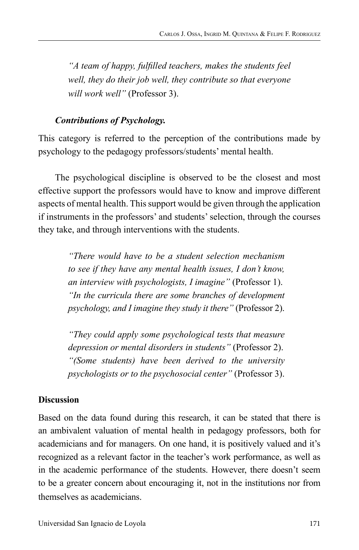*"A team of happy, fulfilled teachers, makes the students feel well, they do their job well, they contribute so that everyone will work well"* (Professor 3).

#### *Contributions of Psychology.*

This category is referred to the perception of the contributions made by psychology to the pedagogy professors/students' mental health.

The psychological discipline is observed to be the closest and most effective support the professors would have to know and improve different aspects of mental health. This support would be given through the application if instruments in the professors' and students' selection, through the courses they take, and through interventions with the students.

> *"There would have to be a student selection mechanism to see if they have any mental health issues, I don't know, an interview with psychologists, I imagine"* (Professor 1). *"In the curricula there are some branches of development psychology, and I imagine they study it there"* (Professor 2).

> *"They could apply some psychological tests that measure depression or mental disorders in students"* (Professor 2). *"(Some students) have been derived to the university psychologists or to the psychosocial center"* (Professor 3).

## **Discussion**

Based on the data found during this research, it can be stated that there is an ambivalent valuation of mental health in pedagogy professors, both for academicians and for managers. On one hand, it is positively valued and it's recognized as a relevant factor in the teacher's work performance, as well as in the academic performance of the students. However, there doesn't seem to be a greater concern about encouraging it, not in the institutions nor from themselves as academicians.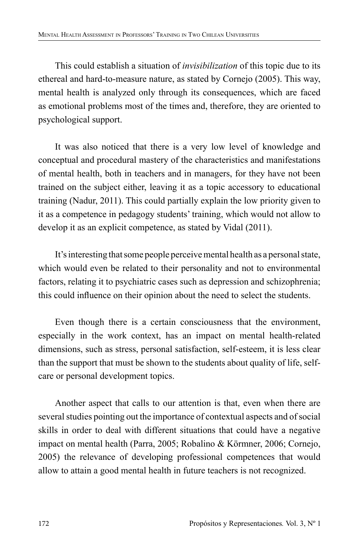This could establish a situation of *invisibilization* of this topic due to its ethereal and hard-to-measure nature, as stated by Cornejo (2005). This way, mental health is analyzed only through its consequences, which are faced as emotional problems most of the times and, therefore, they are oriented to psychological support.

It was also noticed that there is a very low level of knowledge and conceptual and procedural mastery of the characteristics and manifestations of mental health, both in teachers and in managers, for they have not been trained on the subject either, leaving it as a topic accessory to educational training (Nadur, 2011). This could partially explain the low priority given to it as a competence in pedagogy students' training, which would not allow to develop it as an explicit competence, as stated by Vidal (2011).

It's interesting that some people perceive mental health as a personal state, which would even be related to their personality and not to environmental factors, relating it to psychiatric cases such as depression and schizophrenia; this could influence on their opinion about the need to select the students.

Even though there is a certain consciousness that the environment, especially in the work context, has an impact on mental health-related dimensions, such as stress, personal satisfaction, self-esteem, it is less clear than the support that must be shown to the students about quality of life, selfcare or personal development topics.

Another aspect that calls to our attention is that, even when there are several studies pointing out the importance of contextual aspects and of social skills in order to deal with different situations that could have a negative impact on mental health (Parra, 2005; Robalino & Körmner, 2006; Cornejo, 2005) the relevance of developing professional competences that would allow to attain a good mental health in future teachers is not recognized.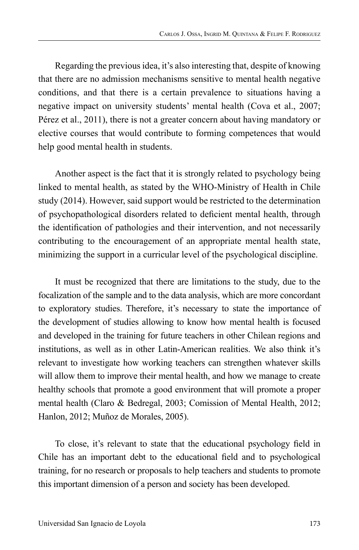Regarding the previous idea, it's also interesting that, despite of knowing that there are no admission mechanisms sensitive to mental health negative conditions, and that there is a certain prevalence to situations having a negative impact on university students' mental health (Cova et al., 2007; Pérez et al., 2011), there is not a greater concern about having mandatory or elective courses that would contribute to forming competences that would help good mental health in students.

Another aspect is the fact that it is strongly related to psychology being linked to mental health, as stated by the WHO-Ministry of Health in Chile study (2014). However, said support would be restricted to the determination of psychopathological disorders related to deficient mental health, through the identification of pathologies and their intervention, and not necessarily contributing to the encouragement of an appropriate mental health state, minimizing the support in a curricular level of the psychological discipline.

It must be recognized that there are limitations to the study, due to the focalization of the sample and to the data analysis, which are more concordant to exploratory studies. Therefore, it's necessary to state the importance of the development of studies allowing to know how mental health is focused and developed in the training for future teachers in other Chilean regions and institutions, as well as in other Latin-American realities. We also think it's relevant to investigate how working teachers can strengthen whatever skills will allow them to improve their mental health, and how we manage to create healthy schools that promote a good environment that will promote a proper mental health (Claro & Bedregal, 2003; Comission of Mental Health, 2012; Hanlon, 2012; Muñoz de Morales, 2005).

To close, it's relevant to state that the educational psychology field in Chile has an important debt to the educational field and to psychological training, for no research or proposals to help teachers and students to promote this important dimension of a person and society has been developed.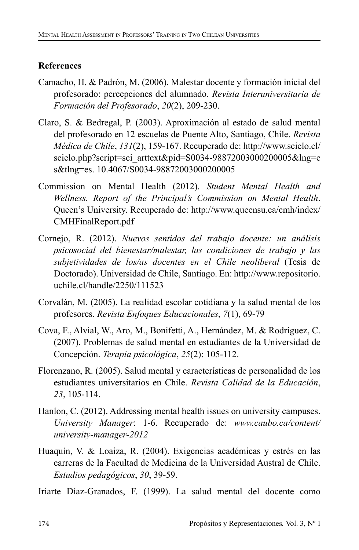## **References**

- Camacho, H. & Padrón, M. (2006). Malestar docente y formación inicial del profesorado: percepciones del alumnado. *Revista Interuniversitaria de Formación del Profesorado*, *20*(2), 209-230.
- Claro, S. & Bedregal, P. (2003). Aproximación al estado de salud mental del profesorado en 12 escuelas de Puente Alto, Santiago, Chile. *Revista Médica de Chile*, *131*(2), 159-167. Recuperado de: http://www.scielo.cl/ scielo.php?script=sci\_arttext&pid=S0034-98872003000200005&lng=e s&tlng=es. 10.4067/S0034-98872003000200005
- Commission on Mental Health (2012). *Student Mental Health and Wellness. Report of the Principal's Commission on Mental Health*. Queen's University. Recuperado de: http://www.queensu.ca/cmh/index/ CMHFinalReport.pdf
- Cornejo, R. (2012). *Nuevos sentidos del trabajo docente: un análisis psicosocial del bienestar/malestar, las condiciones de trabajo y las subjetividades de los/as docentes en el Chile neoliberal* (Tesis de Doctorado). Universidad de Chile, Santiago. En: http://www.repositorio. uchile.cl/handle/2250/111523
- Corvalán, M. (2005). La realidad escolar cotidiana y la salud mental de los profesores. *Revista Enfoques Educacionales*, *7*(1), 69-79
- Cova, F., Alvial, W., Aro, M., Bonifetti, A., Hernández, M. & Rodríguez, C. (2007). Problemas de salud mental en estudiantes de la Universidad de Concepción. *Terapia psicológica*, *25*(2): 105-112.
- Florenzano, R. (2005). Salud mental y características de personalidad de los estudiantes universitarios en Chile. *Revista Calidad de la Educación*, *23*, 105-114.
- Hanlon, C. (2012). Addressing mental health issues on university campuses. *University Manager*: 1-6. Recuperado de: *www.caubo.ca/content/ university-manager-2012*
- Huaquín, V. & Loaiza, R. (2004). Exigencias académicas y estrés en las carreras de la Facultad de Medicina de la Universidad Austral de Chile. *Estudios pedagógicos*, *30*, 39-59.
- Iriarte Díaz-Granados, F. (1999). La salud mental del docente como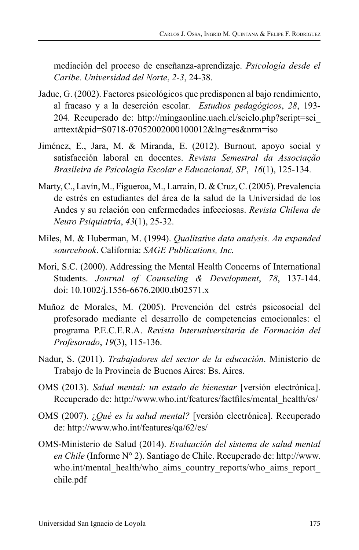mediación del proceso de enseñanza-aprendizaje. *Psicología desde el Caribe. Universidad del Norte*, *2-3*, 24-38.

- Jadue, G. (2002). Factores psicológicos que predisponen al bajo rendimiento, al fracaso y a la deserción escolar*. Estudios pedagógicos*, *28*, 193- 204. Recuperado de: http://mingaonline.uach.cl/scielo.php?script=sci\_ arttext&pid=S0718-07052002000100012&lng=es&nrm=iso
- Jiménez, E., Jara, M. & Miranda, E. (2012). Burnout, apoyo social y satisfacción laboral en docentes. *Revista Semestral da Associação Brasileira de Psicologia Escolar e Educacional, SP*, *16*(1), 125-134.
- Marty, C., Lavín, M., Figueroa, M., Larraín, D. & Cruz, C. (2005). Prevalencia de estrés en estudiantes del área de la salud de la Universidad de los Andes y su relación con enfermedades infecciosas. *Revista Chilena de Neuro Psiquiatría*, *43*(1), 25-32.
- Miles, M. & Huberman, M. (1994). *Qualitative data analysis. An expanded sourcebook*. California: *SAGE Publications, Inc.*
- Mori, S.C. (2000). Addressing the Mental Health Concerns of International Students. *Journal of Counseling & Development*, *78*, 137-144. doi: 10.1002/j.1556-6676.2000.tb02571.x
- Muñoz de Morales, M. (2005). Prevención del estrés psicosocial del profesorado mediante el desarrollo de competencias emocionales: el programa P.E.C.E.R.A. *Revista Interuniversitaria de Formación del Profesorado*, *19*(3), 115-136.
- Nadur, S. (2011). *Trabajadores del sector de la educación*. Ministerio de Trabajo de la Provincia de Buenos Aires: Bs. Aires.
- OMS (2013). *Salud mental: un estado de bienestar* [versión electrónica]. Recuperado de: http://www.who.int/features/factfiles/mental\_health/es/
- OMS (2007). ¿*Qué es la salud mental?* [versión electrónica]. Recuperado de: http://www.who.int/features/qa/62/es/
- OMS-Ministerio de Salud (2014). *Evaluación del sistema de salud mental en Chile* (Informe N° 2). Santiago de Chile. Recuperado de: http://www. who.int/mental\_health/who\_aims\_country\_reports/who\_aims\_report chile.pdf